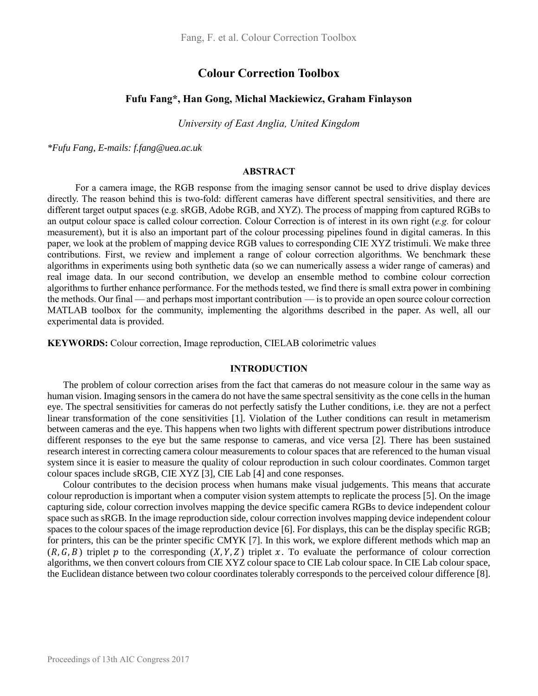# **Colour Correction Toolbox**

## **Fufu Fang\*, Han Gong, Michal Mackiewicz, Graham Finlayson**

*University of East Anglia, United Kingdom* 

*\*Fufu Fang, E-mails: f.fang@uea.ac.uk*

### **ABSTRACT**

For a camera image, the RGB response from the imaging sensor cannot be used to drive display devices directly. The reason behind this is two-fold: different cameras have different spectral sensitivities, and there are different target output spaces (e.g. sRGB, Adobe RGB, and XYZ). The process of mapping from captured RGBs to an output colour space is called colour correction. Colour Correction is of interest in its own right (*e.g.* for colour measurement), but it is also an important part of the colour processing pipelines found in digital cameras. In this paper, we look at the problem of mapping device RGB values to corresponding CIE XYZ tristimuli. We make three contributions. First, we review and implement a range of colour correction algorithms. We benchmark these algorithms in experiments using both synthetic data (so we can numerically assess a wider range of cameras) and real image data. In our second contribution, we develop an ensemble method to combine colour correction algorithms to further enhance performance. For the methods tested, we find there is small extra power in combining the methods. Our final — and perhaps most important contribution — is to provide an open source colour correction MATLAB toolbox for the community, implementing the algorithms described in the paper. As well, all our experimental data is provided.

**KEYWORDS:** Colour correction, Image reproduction, CIELAB colorimetric values

## **INTRODUCTION**

The problem of colour correction arises from the fact that cameras do not measure colour in the same way as human vision. Imaging sensors in the camera do not have the same spectral sensitivity as the cone cells in the human eye. The spectral sensitivities for cameras do not perfectly satisfy the Luther conditions, i.e. they are not a perfect linear transformation of the cone sensitivities [1]. Violation of the Luther conditions can result in metamerism between cameras and the eye. This happens when two lights with different spectrum power distributions introduce different responses to the eye but the same response to cameras, and vice versa [2]. There has been sustained research interest in correcting camera colour measurements to colour spaces that are referenced to the human visual system since it is easier to measure the quality of colour reproduction in such colour coordinates. Common target colour spaces include sRGB, CIE XYZ [3], CIE Lab [4] and cone responses.

Colour contributes to the decision process when humans make visual judgements. This means that accurate colour reproduction is important when a computer vision system attempts to replicate the process [5]. On the image capturing side, colour correction involves mapping the device specific camera RGBs to device independent colour space such as sRGB. In the image reproduction side, colour correction involves mapping device independent colour spaces to the colour spaces of the image reproduction device [6]. For displays, this can be the display specific RGB; for printers, this can be the printer specific CMYK [7]. In this work, we explore different methods which map an  $(R, G, B)$  triplet p to the corresponding  $(X, Y, Z)$  triplet x. To evaluate the performance of colour correction algorithms, we then convert colours from CIE XYZ colour space to CIE Lab colour space. In CIE Lab colour space, the Euclidean distance between two colour coordinates tolerably corresponds to the perceived colour difference [8].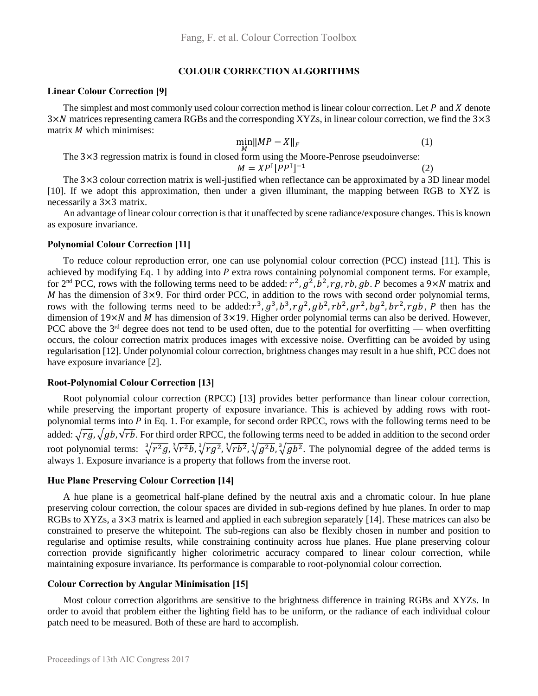## **COLOUR CORRECTION ALGORITHMS**

## **Linear Colour Correction [9]**

The simplest and most commonly used colour correction method is linear colour correction. Let  $P$  and  $X$  denote 3× matrices representing camera RGBs and the corresponding XYZs, in linear colour correction, we find the 3×3 matrix  $M$  which minimises:

$$
\min_{M} \|MP - X\|_{F} \tag{1}
$$

The 3×3 regression matrix is found in closed form using the Moore-Penrose pseudoinverse:  $M = XP^{T}[PP^{T}]^{-1}$ (2)

The 3×3 colour correction matrix is well-justified when reflectance can be approximated by a 3D linear model [10]. If we adopt this approximation, then under a given illuminant, the mapping between RGB to XYZ is necessarily a 3×3 matrix.

An advantage of linear colour correction is that it unaffected by scene radiance/exposure changes. Thisis known as exposure invariance.

#### **Polynomial Colour Correction [11]**

To reduce colour reproduction error, one can use polynomial colour correction (PCC) instead [11]. This is achieved by modifying Eq. 1 by adding into P extra rows containing polynomial component terms. For example, for 2<sup>nd</sup> PCC, rows with the following terms need to be added:  $r^2$ ,  $g^2$ ,  $b^2$ , rg, rb, gb. P becomes a 9×N matrix and M has the dimension of  $3\times9$ . For third order PCC, in addition to the rows with second order polynomial terms, rows with the following terms need to be added:  $r^3$ ,  $g^3$ ,  $b^3$ ,  $r g^2$ ,  $g b^2$ ,  $r b^2$ ,  $g r^2$ ,  $b g^2$ ,  $b r^2$ ,  $r g b$ ,  $P$  then has the dimension of  $19 \times N$  and M has dimension of  $3 \times 19$ . Higher order polynomial terms can also be derived. However, PCC above the  $3<sup>rd</sup>$  degree does not tend to be used often, due to the potential for overfitting — when overfitting occurs, the colour correction matrix produces images with excessive noise. Overfitting can be avoided by using regularisation [12]. Under polynomial colour correction, brightness changes may result in a hue shift, PCC does not have exposure invariance [2].

### **Root-Polynomial Colour Correction [13]**

Root polynomial colour correction (RPCC) [13] provides better performance than linear colour correction, while preserving the important property of exposure invariance. This is achieved by adding rows with rootpolynomial terms into  $P$  in Eq. 1. For example, for second order RPCC, rows with the following terms need to be added:  $\sqrt{rg}$ ,  $\sqrt{gb}$ ,  $\sqrt{rb}$ . For third order RPCC, the following terms need to be added in addition to the second order root polynomial terms:  $\sqrt[3]{r^2g}$ ,  $\sqrt[3]{r^2b}$ ,  $\sqrt[3]{r^2g}$ ,  $\sqrt[3]{r^2b}$ ,  $\sqrt[3]{g^2b}$ ,  $\sqrt[3]{gb^2}$ . The polynomial degree of the added terms is always 1. Exposure invariance is a property that follows from the inverse root.

### **Hue Plane Preserving Colour Correction [14]**

A hue plane is a geometrical half-plane defined by the neutral axis and a chromatic colour. In hue plane preserving colour correction, the colour spaces are divided in sub-regions defined by hue planes. In order to map RGBs to XYZs, a 3×3 matrix is learned and applied in each subregion separately [14]. These matrices can also be constrained to preserve the whitepoint. The sub-regions can also be flexibly chosen in number and position to regularise and optimise results, while constraining continuity across hue planes. Hue plane preserving colour correction provide significantly higher colorimetric accuracy compared to linear colour correction, while maintaining exposure invariance. Its performance is comparable to root-polynomial colour correction.

#### **Colour Correction by Angular Minimisation [15]**

Most colour correction algorithms are sensitive to the brightness difference in training RGBs and XYZs. In order to avoid that problem either the lighting field has to be uniform, or the radiance of each individual colour patch need to be measured. Both of these are hard to accomplish.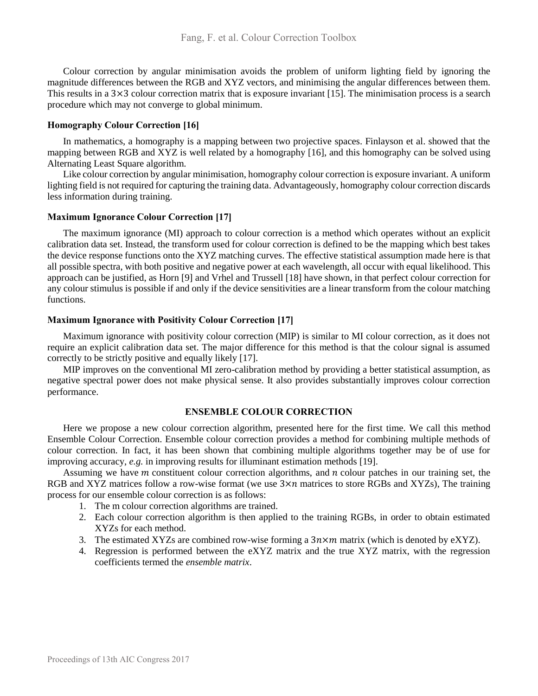Colour correction by angular minimisation avoids the problem of uniform lighting field by ignoring the magnitude differences between the RGB and XYZ vectors, and minimising the angular differences between them. This results in a 3×3 colour correction matrix that is exposure invariant [15]. The minimisation process is a search procedure which may not converge to global minimum.

## **Homography Colour Correction [16]**

In mathematics, a homography is a mapping between two projective spaces. Finlayson et al. showed that the mapping between RGB and XYZ is well related by a homography [16], and this homography can be solved using Alternating Least Square algorithm.

Like colour correction by angular minimisation, homography colour correction is exposure invariant. A uniform lighting field is not required for capturing the training data. Advantageously, homography colour correction discards less information during training.

## **Maximum Ignorance Colour Correction [17]**

The maximum ignorance (MI) approach to colour correction is a method which operates without an explicit calibration data set. Instead, the transform used for colour correction is defined to be the mapping which best takes the device response functions onto the XYZ matching curves. The effective statistical assumption made here is that all possible spectra, with both positive and negative power at each wavelength, all occur with equal likelihood. This approach can be justified, as Horn [9] and Vrhel and Trussell [18] have shown, in that perfect colour correction for any colour stimulus is possible if and only if the device sensitivities are a linear transform from the colour matching functions.

## **Maximum Ignorance with Positivity Colour Correction [17]**

Maximum ignorance with positivity colour correction (MIP) is similar to MI colour correction, as it does not require an explicit calibration data set. The major difference for this method is that the colour signal is assumed correctly to be strictly positive and equally likely [17].

MIP improves on the conventional MI zero-calibration method by providing a better statistical assumption, as negative spectral power does not make physical sense. It also provides substantially improves colour correction performance.

## **ENSEMBLE COLOUR CORRECTION**

Here we propose a new colour correction algorithm, presented here for the first time. We call this method Ensemble Colour Correction. Ensemble colour correction provides a method for combining multiple methods of colour correction. In fact, it has been shown that combining multiple algorithms together may be of use for improving accuracy, *e.g.* in improving results for illuminant estimation methods [19].

Assuming we have  *constituent colour correction algorithms, and*  $*n*$  *colour patches in our training set, the* RGB and XYZ matrices follow a row-wise format (we use  $3 \times n$  matrices to store RGBs and XYZs), The training process for our ensemble colour correction is as follows:

- 1. The m colour correction algorithms are trained.
- 2. Each colour correction algorithm is then applied to the training RGBs, in order to obtain estimated XYZs for each method.
- 3. The estimated XYZs are combined row-wise forming a  $3n \times m$  matrix (which is denoted by eXYZ).
- 4. Regression is performed between the eXYZ matrix and the true XYZ matrix, with the regression coefficients termed the *ensemble matrix*.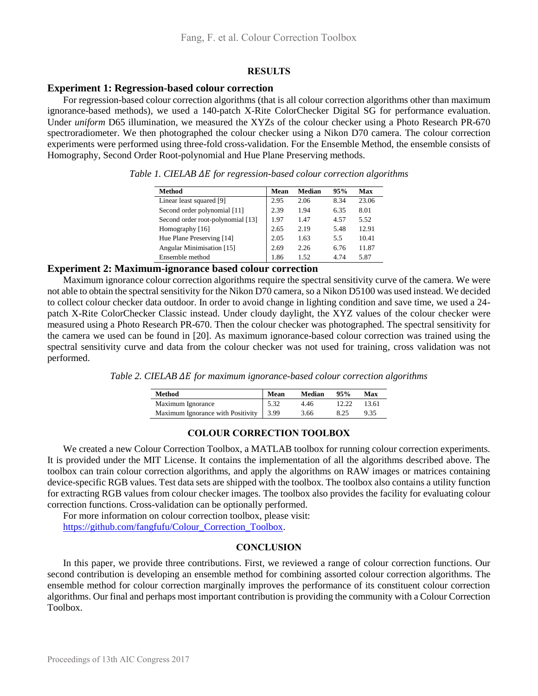### **RESULTS**

# **Experiment 1: Regression-based colour correction**

For regression-based colour correction algorithms (that is all colour correction algorithms other than maximum ignorance-based methods), we used a 140-patch X-Rite ColorChecker Digital SG for performance evaluation. Under *uniform* D65 illumination, we measured the XYZs of the colour checker using a Photo Research PR-670 spectroradiometer. We then photographed the colour checker using a Nikon D70 camera. The colour correction experiments were performed using three-fold cross-validation. For the Ensemble Method, the ensemble consists of Homography, Second Order Root-polynomial and Hue Plane Preserving methods.

| Method                            | Mean | Median | 95%  | Max   |
|-----------------------------------|------|--------|------|-------|
| Linear least squared [9]          | 2.95 | 2.06   | 8.34 | 23.06 |
| Second order polynomial [11]      | 2.39 | 1.94   | 6.35 | 8.01  |
| Second order root-polynomial [13] | 1.97 | 1.47   | 4.57 | 5.52  |
| Homography [16]                   | 2.65 | 2.19   | 5.48 | 12.91 |
| Hue Plane Preserving [14]         | 2.05 | 1.63   | 5.5  | 10.41 |
| Angular Minimisation [15]         | 2.69 | 2.26   | 6.76 | 11.87 |
| Ensemble method                   | 1.86 | 1.52   | 4.74 | 5.87  |

*Table 1. CIELAB for regression-based colour correction algorithms*

## **Experiment 2: Maximum-ignorance based colour correction**

Maximum ignorance colour correction algorithms require the spectral sensitivity curve of the camera. We were not able to obtain the spectral sensitivity for the Nikon D70 camera, so a Nikon D5100 was used instead. We decided to collect colour checker data outdoor. In order to avoid change in lighting condition and save time, we used a 24 patch X-Rite ColorChecker Classic instead. Under cloudy daylight, the XYZ values of the colour checker were measured using a Photo Research PR-670. Then the colour checker was photographed. The spectral sensitivity for the camera we used can be found in [20]. As maximum ignorance-based colour correction was trained using the spectral sensitivity curve and data from the colour checker was not used for training, cross validation was not performed.

*Table 2. CIELAB*  $\Delta E$  *for maximum ignorance-based colour correction algorithms* 

| Method                            | Mean | <b>Median</b> | 95%  | Max   |
|-----------------------------------|------|---------------|------|-------|
| Maximum Ignorance                 | 5.32 | 4.46          |      | 13.61 |
| Maximum Ignorance with Positivity | 3.99 | 3.66          | 8.25 | 9.35  |

# **COLOUR CORRECTION TOOLBOX**

We created a new Colour Correction Toolbox, a MATLAB toolbox for running colour correction experiments. It is provided under the MIT License. It contains the implementation of all the algorithms described above. The toolbox can train colour correction algorithms, and apply the algorithms on RAW images or matrices containing device-specific RGB values. Test data sets are shipped with the toolbox. The toolbox also contains a utility function for extracting RGB values from colour checker images. The toolbox also provides the facility for evaluating colour correction functions. Cross-validation can be optionally performed.

For more information on colour correction toolbox, please visit: [https://github.com/fangfufu/Colour\\_Correction\\_Toolbox.](https://github.com/fangfufu/Colour_Correction_Toolbox)

## **CONCLUSION**

In this paper, we provide three contributions. First, we reviewed a range of colour correction functions. Our second contribution is developing an ensemble method for combining assorted colour correction algorithms. The ensemble method for colour correction marginally improves the performance of its constituent colour correction algorithms. Our final and perhaps most important contribution is providing the community with a Colour Correction Toolbox.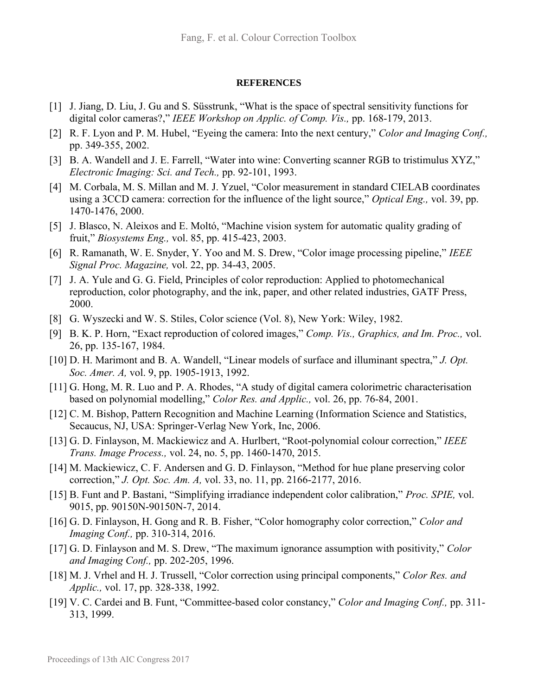### **REFERENCES**

- [1] J. Jiang, D. Liu, J. Gu and S. Süsstrunk, "What is the space of spectral sensitivity functions for digital color cameras?," *IEEE Workshop on Applic. of Comp. Vis.,* pp. 168-179, 2013.
- [2] R. F. Lyon and P. M. Hubel, "Eyeing the camera: Into the next century," *Color and Imaging Conf.,*  pp. 349-355, 2002.
- [3] B. A. Wandell and J. E. Farrell, "Water into wine: Converting scanner RGB to tristimulus XYZ," *Electronic Imaging: Sci. and Tech.,* pp. 92-101, 1993.
- [4] M. Corbala, M. S. Millan and M. J. Yzuel, "Color measurement in standard CIELAB coordinates using a 3CCD camera: correction for the influence of the light source," *Optical Eng.,* vol. 39, pp. 1470-1476, 2000.
- [5] J. Blasco, N. Aleixos and E. Moltó, "Machine vision system for automatic quality grading of fruit," *Biosystems Eng.,* vol. 85, pp. 415-423, 2003.
- [6] R. Ramanath, W. E. Snyder, Y. Yoo and M. S. Drew, "Color image processing pipeline," *IEEE Signal Proc. Magazine,* vol. 22, pp. 34-43, 2005.
- [7] J. A. Yule and G. G. Field, Principles of color reproduction: Applied to photomechanical reproduction, color photography, and the ink, paper, and other related industries, GATF Press, 2000.
- [8] G. Wyszecki and W. S. Stiles, Color science (Vol. 8), New York: Wiley, 1982.
- [9] B. K. P. Horn, "Exact reproduction of colored images," *Comp. Vis., Graphics, and Im. Proc.,* vol. 26, pp. 135-167, 1984.
- [10] D. H. Marimont and B. A. Wandell, "Linear models of surface and illuminant spectra," *J. Opt. Soc. Amer. A,* vol. 9, pp. 1905-1913, 1992.
- [11] G. Hong, M. R. Luo and P. A. Rhodes, "A study of digital camera colorimetric characterisation based on polynomial modelling," *Color Res. and Applic.,* vol. 26, pp. 76-84, 2001.
- [12] C. M. Bishop, Pattern Recognition and Machine Learning (Information Science and Statistics, Secaucus, NJ, USA: Springer-Verlag New York, Inc, 2006.
- [13] G. D. Finlayson, M. Mackiewicz and A. Hurlbert, "Root-polynomial colour correction," *IEEE Trans. Image Process.,* vol. 24, no. 5, pp. 1460-1470, 2015.
- [14] M. Mackiewicz, C. F. Andersen and G. D. Finlayson, "Method for hue plane preserving color correction," *J. Opt. Soc. Am. A,* vol. 33, no. 11, pp. 2166-2177, 2016.
- [15] B. Funt and P. Bastani, "Simplifying irradiance independent color calibration," *Proc. SPIE,* vol. 9015, pp. 90150N-90150N-7, 2014.
- [16] G. D. Finlayson, H. Gong and R. B. Fisher, "Color homography color correction," *Color and Imaging Conf.,* pp. 310-314, 2016.
- [17] G. D. Finlayson and M. S. Drew, "The maximum ignorance assumption with positivity," *Color and Imaging Conf.,* pp. 202-205, 1996.
- [18] M. J. Vrhel and H. J. Trussell, "Color correction using principal components," *Color Res. and Applic.,* vol. 17, pp. 328-338, 1992.
- [19] V. C. Cardei and B. Funt, "Committee-based color constancy," *Color and Imaging Conf.,* pp. 311- 313, 1999.